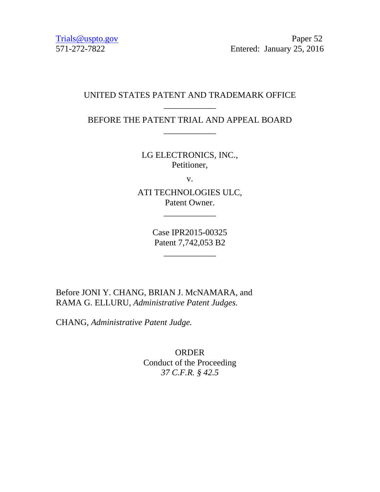Trials @uspto.gov Paper 52 571-272-7822 Entered: January 25, 2016

#### UNITED STATES PATENT AND TRADEMARK OFFICE \_\_\_\_\_\_\_\_\_\_\_\_

## BEFORE THE PATENT TRIAL AND APPEAL BOARD \_\_\_\_\_\_\_\_\_\_\_\_

LG ELECTRONICS, INC., Petitioner,

v.

ATI TECHNOLOGIES ULC, Patent Owner.

\_\_\_\_\_\_\_\_\_\_\_\_

Case IPR2015-00325 Patent 7,742,053 B2

\_\_\_\_\_\_\_\_\_\_\_\_

Before JONI Y. CHANG, BRIAN J. McNAMARA, and RAMA G. ELLURU, *Administrative Patent Judges.*

CHANG, *Administrative Patent Judge.*

ORDER Conduct of the Proceeding *37 C.F.R. § 42.5*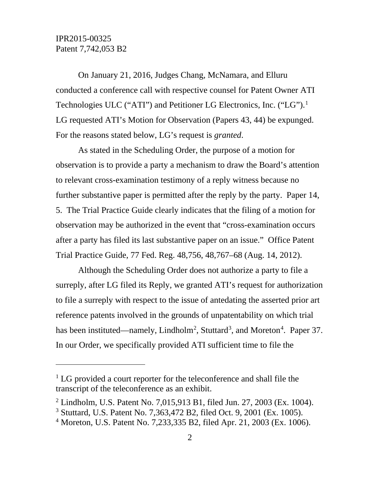# IPR2015-00325 Patent 7,742,053 B2

 $\overline{a}$ 

On January 21, 2016, Judges Chang, McNamara, and Elluru conducted a conference call with respective counsel for Patent Owner ATI Technologies ULC ("ATI") and Petitioner LG Electronics, Inc. ("LG").<sup>[1](#page-1-0)</sup> LG requested ATI's Motion for Observation (Papers 43, 44) be expunged. For the reasons stated below, LG's request is *granted*.

As stated in the Scheduling Order, the purpose of a motion for observation is to provide a party a mechanism to draw the Board's attention to relevant cross-examination testimony of a reply witness because no further substantive paper is permitted after the reply by the party. Paper 14, 5. The Trial Practice Guide clearly indicates that the filing of a motion for observation may be authorized in the event that "cross-examination occurs after a party has filed its last substantive paper on an issue." Office Patent Trial Practice Guide, 77 Fed. Reg. 48,756, 48,767–68 (Aug. 14, 2012).

Although the Scheduling Order does not authorize a party to file a surreply, after LG filed its Reply, we granted ATI's request for authorization to file a surreply with respect to the issue of antedating the asserted prior art reference patents involved in the grounds of unpatentability on which trial has been instituted—namely, Lindholm<sup>[2](#page-1-1)</sup>, Stuttard<sup>[3](#page-1-2)</sup>, and Moreton<sup>[4](#page-1-3)</sup>. Paper 37. In our Order, we specifically provided ATI sufficient time to file the

<span id="page-1-0"></span><sup>&</sup>lt;sup>1</sup> LG provided a court reporter for the teleconference and shall file the transcript of the teleconference as an exhibit.

<span id="page-1-1"></span><sup>&</sup>lt;sup>2</sup> Lindholm, U.S. Patent No. 7,015,913 B1, filed Jun. 27, 2003 (Ex. 1004).

<span id="page-1-2"></span><sup>3</sup> Stuttard, U.S. Patent No. 7,363,472 B2, filed Oct. 9, 2001 (Ex. 1005).

<span id="page-1-3"></span><sup>4</sup> Moreton, U.S. Patent No. 7,233,335 B2, filed Apr. 21, 2003 (Ex. 1006).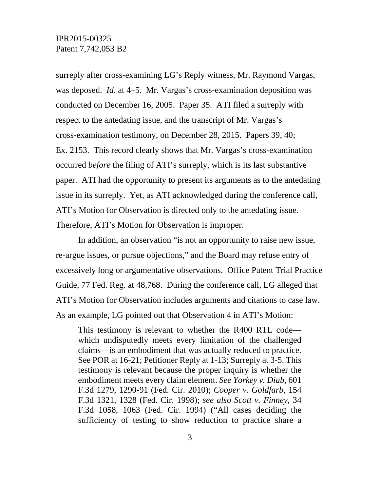surreply after cross-examining LG's Reply witness, Mr. Raymond Vargas, was deposed. *Id*. at 4–5. Mr. Vargas's cross-examination deposition was conducted on December 16, 2005. Paper 35. ATI filed a surreply with respect to the antedating issue, and the transcript of Mr. Vargas's cross-examination testimony, on December 28, 2015. Papers 39, 40; Ex. 2153. This record clearly shows that Mr. Vargas's cross-examination occurred *before* the filing of ATI's surreply, which is its last substantive paper. ATI had the opportunity to present its arguments as to the antedating issue in its surreply. Yet, as ATI acknowledged during the conference call, ATI's Motion for Observation is directed only to the antedating issue. Therefore, ATI's Motion for Observation is improper.

In addition, an observation "is not an opportunity to raise new issue, re-argue issues, or pursue objections," and the Board may refuse entry of excessively long or argumentative observations. Office Patent Trial Practice Guide, 77 Fed. Reg. at 48,768. During the conference call, LG alleged that ATI's Motion for Observation includes arguments and citations to case law. As an example, LG pointed out that Observation 4 in ATI's Motion:

This testimony is relevant to whether the R400 RTL code which undisputedly meets every limitation of the challenged claims—is an embodiment that was actually reduced to practice. See POR at 16-21; Petitioner Reply at 1-13; Surreply at 3-5. This testimony is relevant because the proper inquiry is whether the embodiment meets every claim element. *See Yorkey v. Diab*, 601 F.3d 1279, 1290-91 (Fed. Cir. 2010); *Cooper v. Goldfarb*, 154 F.3d 1321, 1328 (Fed. Cir. 1998); *see also Scott v. Finney*, 34 F.3d 1058, 1063 (Fed. Cir. 1994) ("All cases deciding the sufficiency of testing to show reduction to practice share a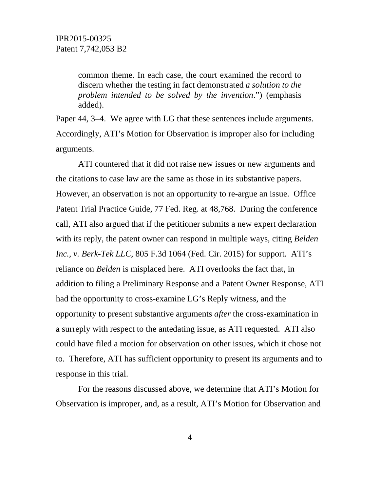common theme. In each case, the court examined the record to discern whether the testing in fact demonstrated *a solution to the problem intended to be solved by the invention*.") (emphasis added).

Paper 44, 3–4. We agree with LG that these sentences include arguments. Accordingly, ATI's Motion for Observation is improper also for including arguments.

ATI countered that it did not raise new issues or new arguments and the citations to case law are the same as those in its substantive papers. However, an observation is not an opportunity to re-argue an issue. Office Patent Trial Practice Guide, 77 Fed. Reg. at 48,768. During the conference call, ATI also argued that if the petitioner submits a new expert declaration with its reply, the patent owner can respond in multiple ways, citing *Belden Inc., v. Berk-Tek LLC*, 805 F.3d 1064 (Fed. Cir. 2015) for support. ATI's reliance on *Belden* is misplaced here. ATI overlooks the fact that, in addition to filing a Preliminary Response and a Patent Owner Response, ATI had the opportunity to cross-examine LG's Reply witness, and the opportunity to present substantive arguments *after* the cross-examination in a surreply with respect to the antedating issue, as ATI requested. ATI also could have filed a motion for observation on other issues, which it chose not to. Therefore, ATI has sufficient opportunity to present its arguments and to response in this trial.

For the reasons discussed above, we determine that ATI's Motion for Observation is improper, and, as a result, ATI's Motion for Observation and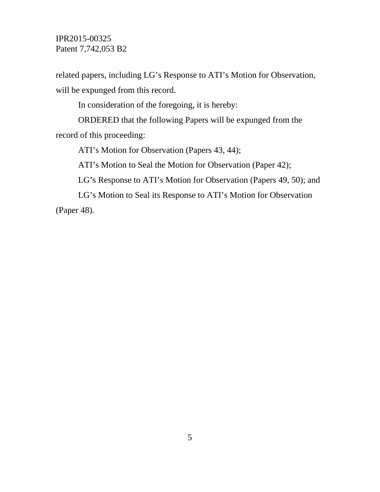# IPR2015-00325 Patent 7,742,053 B2

related papers, including LG's Response to ATI's Motion for Observation, will be expunged from this record.

In consideration of the foregoing, it is hereby:

ORDERED that the following Papers will be expunged from the record of this proceeding:

ATI's Motion for Observation (Papers 43, 44);

ATI's Motion to Seal the Motion for Observation (Paper 42);

LG's Response to ATI's Motion for Observation (Papers 49, 50); and

LG's Motion to Seal its Response to ATI's Motion for Observation (Paper 48).